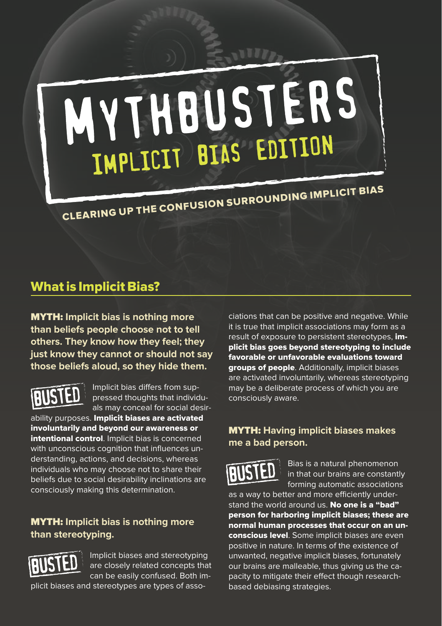# MYTHBUSTERS IMPLICIT BIAS EDITION

CLEARING UP THE CONFUSION SURROUNDING IMPLICIT BIAS

## What is Implicit Bias?

MYTH: **Implicit bias is nothing more than beliefs people choose not to tell others. They know how they feel; they just know they cannot or should not say those beliefs aloud, so they hide them.**

Implicit bias differs from suppressed thoughts that individuals may conceal for social desir-

ability purposes. Implicit biases are activated involuntarily and beyond our awareness or intentional control. Implicit bias is concerned with unconscious cognition that influences understanding, actions, and decisions, whereas individuals who may choose not to share their beliefs due to social desirability inclinations are consciously making this determination.

#### MYTH: **Implicit bias is nothing more than stereotyping.**



Implicit biases and stereotyping are closely related concepts that can be easily confused. Both im-

plicit biases and stereotypes are types of asso-

ciations that can be positive and negative. While it is true that implicit associations may form as a result of exposure to persistent stereotypes, implicit bias goes beyond stereotyping to include favorable or unfavorable evaluations toward groups of people. Additionally, implicit biases are activated involuntarily, whereas stereotyping may be a deliberate process of which you are consciously aware.

#### MYTH: **Having implicit biases makes me a bad person.**



Bias is a natural phenomenon in that our brains are constantly forming automatic associations

as a way to better and more efficiently understand the world around us. No one is a "bad" person for harboring implicit biases; these are normal human processes that occur on an unconscious level. Some implicit biases are even positive in nature. In terms of the existence of unwanted, negative implicit biases, fortunately our brains are malleable, thus giving us the capacity to mitigate their effect though researchbased debiasing strategies.